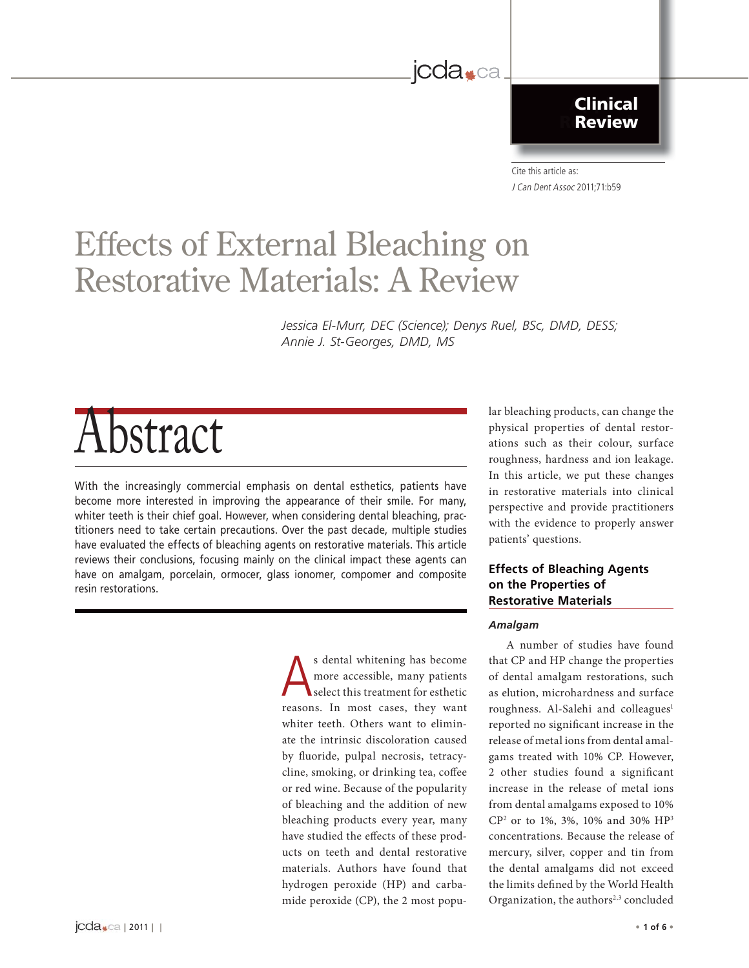### **Applied Clinical Research Review**

Cite this article as: J Can Dent Assoc 2011;71:b59

# **Effects of External Bleaching on<br>Restorative Materials: A Review** Restorative Materials: A Reviewer Materials: A Reviewer And Internative Materials: A Reviewer And Internative

*Jessica El-Murr, DEC (Science); Denys Ruel, BSc, DMD, DESS; Annie J. St-Georges, DMD, MS*

jcda<sub>\*ca</sub>

# Abstract

With the increasingly commercial emphasis on dental esthetics, patients have become more interested in improving the appearance of their smile. For many, whiter teeth is their chief goal. However, when considering dental bleaching, practitioners need to take certain precautions. Over the past decade, multiple studies have evaluated the effects of bleaching agents on restorative materials. This article reviews their conclusions, focusing mainly on the clinical impact these agents can have on amalgam, porcelain, ormocer, glass ionomer, compomer and composite resin restorations.

> s dental whitening has become<br>more accessible, many patients<br>select this treatment for esthetic more accessible, many patients select this treatment for esthetic reasons. In most cases, they want whiter teeth. Others want to eliminate the intrinsic discoloration caused by fluoride, pulpal necrosis, tetracycline, smoking, or drinking tea, coffee or red wine. Because of the popularity of bleaching and the addition of new bleaching products every year, many have studied the effects of these products on teeth and dental restorative materials. Authors have found that hydrogen peroxide (HP) and carbamide peroxide (CP), the 2 most popu

lar bleaching products, can change the physical properties of dental restorations such as their colour, surface roughness, hardness and ion leakage. In this article, we put these changes in restorative materials into clinical perspective and provide practitioners with the evidence to properly answer patients' questions.

### **Effects of Bleaching Agents Restorative Materials Restorative Materials**

#### *Amalgam*

A number of studies have found that CP and HP change the properties of dental amalgam restorations, such as elution, microhardness and surface roughness. Al-Salehi and colleagues<sup>1</sup> reported no significant increase in the release of metal ions from dental amalgams treated with 10% CP. However, 2 other studies found a significant increase in the release of metal ions from dental amalgams exposed to 10% CP2 or to 1%, 3%, 10% and 30% HP3 concentrations. Because the release of mercury, silver, copper and tin from the dental amalgams did not exceed the limits defined by the World Health Organization, the authors<sup>2,3</sup> concluded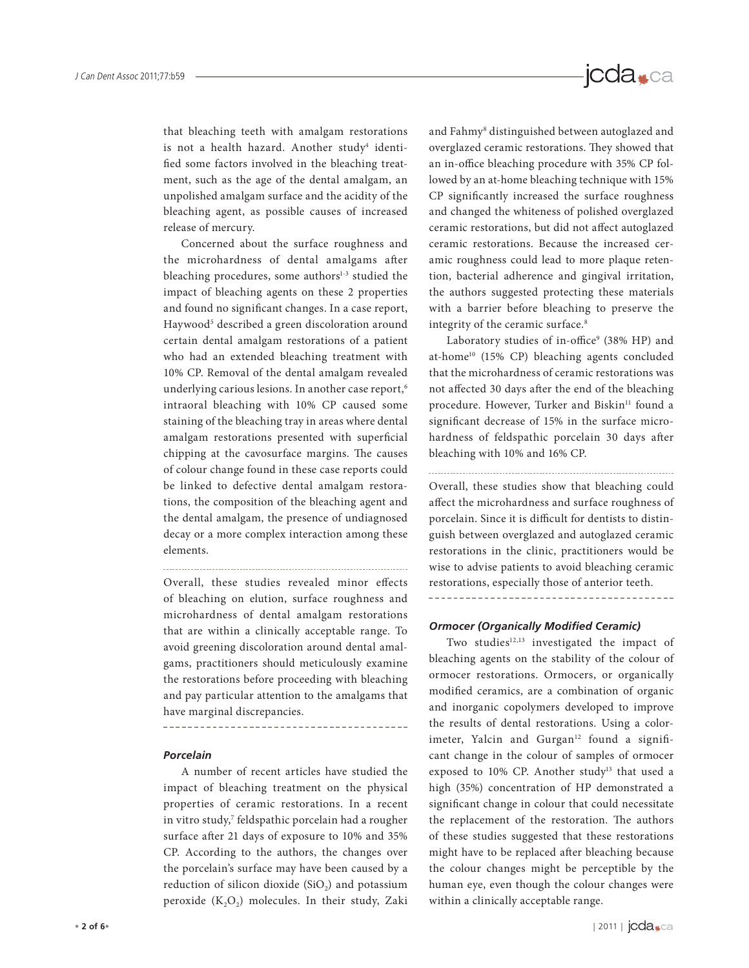that bleaching teeth with amalgam restorations is not a health hazard. Another study<sup>4</sup> identified some factors involved in the bleaching treatment, such as the age of the dental amalgam, an unpolished amalgam surface and the acidity of the bleaching agent, as possible causes of increased release of mercury.

Concerned about the surface roughness and the microhardness of dental amalgams after bleaching procedures, some authors<sup>1-3</sup> studied the impact of bleaching agents on these 2 properties and found no significant changes. In a case report, Haywood<sup>5</sup> described a green discoloration around certain dental amalgam restorations of a patient who had an extended bleaching treatment with 10% CP. Removal of the dental amalgam revealed underlying carious lesions. In another case report,<sup>6</sup> intraoral bleaching with 10% CP caused some staining of the bleaching tray in areas where dental amalgam restorations presented with superficial chipping at the cavosurface margins. The causes of colour change found in these case reports could be linked to defective dental amalgam restorations, the composition of the bleaching agent and the dental amalgam, the presence of undiagnosed decay or a more complex interaction among these elements.

Overall, these studies revealed minor effects of bleaching on elution, surface roughness and microhardness of dental amalgam restorations that are within a clinically acceptable range. To avoid greening discoloration around dental amalgams, practitioners should meticulously examine the restorations before proceeding with bleaching and pay particular attention to the amalgams that have marginal discrepancies.

#### *Porcelain*

A number of recent articles have studied the impact of bleaching treatment on the physical properties of ceramic restorations. In a recent in vitro study,<sup>7</sup> feldspathic porcelain had a rougher surface after 21 days of exposure to 10% and 35% CP. According to the authors, the changes over the porcelain's surface may have been caused by a reduction of silicon dioxide  $(SiO<sub>2</sub>)$  and potassium peroxide  $(K_2O_2)$  molecules. In their study, Zaki

and Fahmy<sup>8</sup> distinguished between autoglazed and overglazed ceramic restorations. They showed that an in-office bleaching procedure with 35% CP followed by an at-home bleaching technique with 15% CP significantly increased the surface roughness and changed the whiteness of polished overglazed ceramic restorations, but did not affect autoglazed ceramic restorations. Because the increased ceramic roughness could lead to more plaque retention, bacterial adherence and gingival irritation, the authors suggested protecting these materials with a barrier before bleaching to preserve the integrity of the ceramic surface.8

Laboratory studies of in-office<sup>9</sup> (38% HP) and at-home<sup>10</sup> (15% CP) bleaching agents concluded that the microhardness of ceramic restorations was not affected 30 days after the end of the bleaching procedure. However, Turker and Biskin<sup>11</sup> found a significant decrease of 15% in the surface microhardness of feldspathic porcelain 30 days after bleaching with 10% and 16% CP.

Overall, these studies show that bleaching could affect the microhardness and surface roughness of porcelain. Since it is difficult for dentists to distinguish between overglazed and autoglazed ceramic restorations in the clinic, practitioners would be wise to advise patients to avoid bleaching ceramic restorations, especially those of anterior teeth.

#### **Ormocer (Organically Modified Ceramic)**

Two studies<sup>12,13</sup> investigated the impact of bleaching agents on the stability of the colour of ormocer restorations. Ormocers, or organically modified ceramics, are a combination of organic and inorganic copolymers developed to improve the results of dental restorations. Using a colorimeter, Yalcin and Gurgan<sup>12</sup> found a significant change in the colour of samples of ormocer exposed to 10% CP. Another study<sup>13</sup> that used a high (35%) concentration of HP demonstrated a significant change in colour that could necessitate the replacement of the restoration. The authors of these studies suggested that these restorations might have to be replaced after bleaching because the colour changes might be perceptible by the human eye, even though the colour changes were within a clinically acceptable range.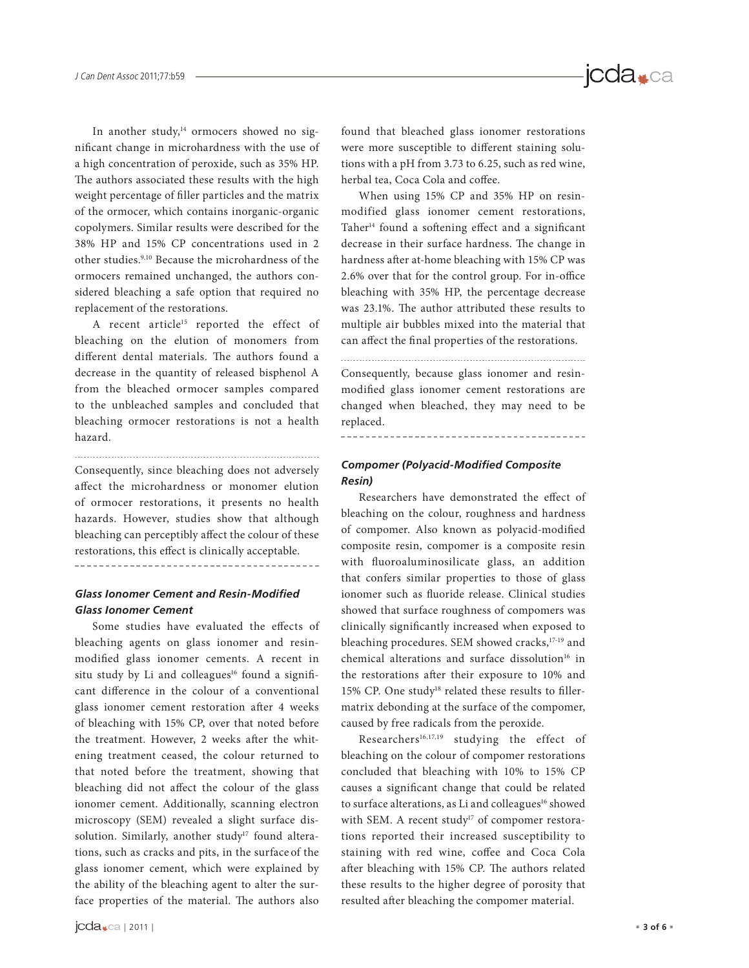In another study,<sup>14</sup> ormocers showed no significant change in microhardness with the use of a high concentration of peroxide, such as 35% HP. The authors associated these results with the high weight percentage of filler particles and the matrix of the ormocer, which contains inorganic-organic copolymers. Similar results were described for the 38% HP and 15% CP concentrations used in 2 other studies.9,10 Because the microhardness of the ormocers remained unchanged, the authors considered bleaching a safe option that required no replacement of the restorations.

A recent article<sup>15</sup> reported the effect of bleaching on the elution of monomers from different dental materials. The authors found a decrease in the quantity of released bisphenol A from the bleached ormocer samples compared to the unbleached samples and concluded that bleaching ormocer restorations is not a health hazard.

Consequently, since bleaching does not adversely affect the microhardness or monomer elution of ormocer restorations, it presents no health hazards. However, studies show that although bleaching can perceptibly affect the colour of these restorations, this effect is clinically acceptable.

-------------------------------------

#### **Glass Ionomer Cement and Resin-Modified** *Glass Ionomer Cement*

Some studies have evaluated the effects of bleaching agents on glass ionomer and resinmodified glass ionomer cements. A recent in situ study by Li and colleagues<sup>16</sup> found a significant difference in the colour of a conventional glass ionomer cement restoration after 4 weeks of bleaching with 15% CP, over that noted before the treatment. However, 2 weeks after the whitening treatment ceased, the colour returned to that noted before the treatment, showing that bleaching did not affect the colour of the glass ionomer cement. Additionally, scanning electron microscopy (SEM) revealed a slight surface dissolution. Similarly, another study<sup>17</sup> found alterations, such as cracks and pits, in the surface of the glass ionomer cement, which were explained by the ability of the bleaching agent to alter the surface properties of the material. The authors also

found that bleached glass ionomer restorations were more susceptible to different staining solutions with a pH from 3.73 to 6.25, such as red wine, herbal tea, Coca Cola and coffee.

jcda<sub>\*ca</sub>

When using 15% CP and 35% HP on resinmodified glass ionomer cement restorations, Taher<sup>14</sup> found a softening effect and a significant decrease in their surface hardness. The change in hardness after at-home bleaching with 15% CP was 2.6% over that for the control group. For in-office bleaching with 35% HP, the percentage decrease was 23.1%. The author attributed these results to multiple air bubbles mixed into the material that can affect the final properties of the restorations.

Consequently, because glass ionomer and resinmodified glass ionomer cement restorations are changed when bleached, they may need to be replaced.

#### **Compomer (Polyacid-Modified Composite** *Resin)*

Researchers have demonstrated the effect of bleaching on the colour, roughness and hardness of compomer. Also known as polyacid-modified composite resin, compomer is a composite resin with fluoroaluminosilicate glass, an addition that confers similar properties to those of glass ionomer such as fluoride release. Clinical studies showed that surface roughness of compomers was clinically significantly increased when exposed to bleaching procedures. SEM showed cracks,17-19 and chemical alterations and surface dissolution<sup>16</sup> in the restorations after their exposure to 10% and 15% CP. One study<sup>18</sup> related these results to fillermatrix debonding at the surface of the compomer, caused by free radicals from the peroxide.

Researchers<sup>16,17,19</sup> studying the effect of bleaching on the colour of compomer restorations concluded that bleaching with 10% to 15% CP causes a significant change that could be related to surface alterations, as Li and colleagues<sup>16</sup> showed with SEM. A recent study<sup>17</sup> of compomer restorations reported their increased susceptibility to staining with red wine, coffee and Coca Cola after bleaching with 15% CP. The authors related these results to the higher degree of porosity that resulted after bleaching the compomer material.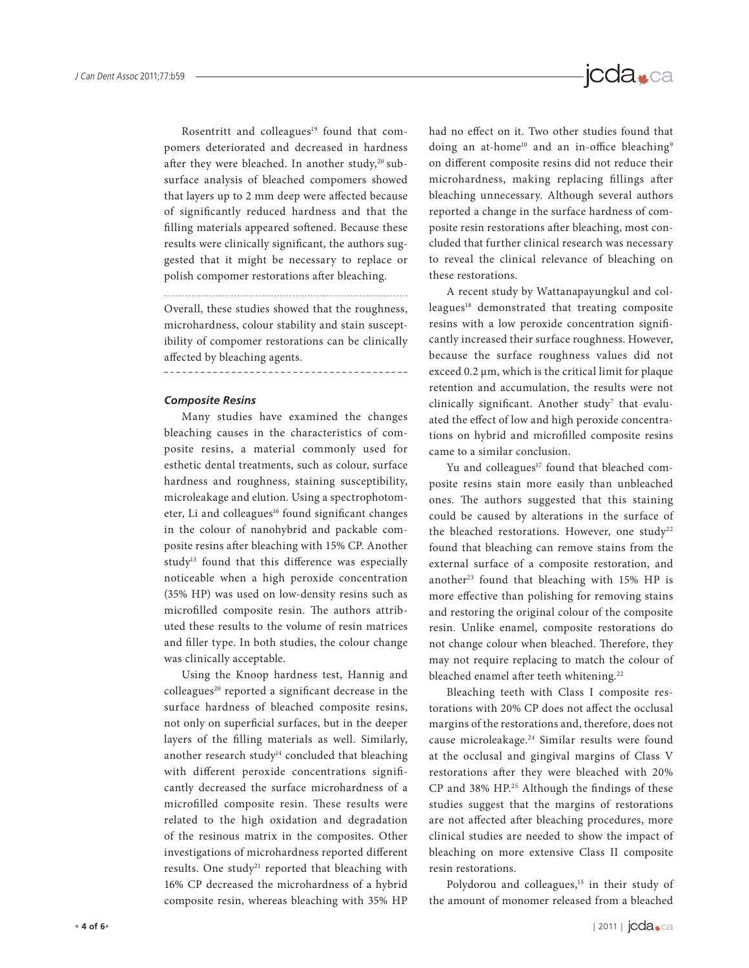Rosentritt and colleagues<sup>19</sup> found that compomers deteriorated and decreased in hardness after they were bleached. In another study,<sup>20</sup> subsurface analysis of bleached compomers showed that layers up to 2 mm deep were affected because of significantly reduced hardness and that the filling materials appeared softened. Because these results were clinically significant, the authors suggested that it might be necessary to replace or polish compomer restorations after bleaching.

Overall, these studies showed that the roughness, microhardness, colour stability and stain susceptibility of compomer restorations can be clinically affected by bleaching agents.

------------

#### *Composite Resins*

Many studies have examined the changes bleaching causes in the characteristics of composite resins, a material commonly used for esthetic dental treatments, such as colour, surface hardness and roughness, staining susceptibility, microleakage and elution. Using a spectrophotometer, Li and colleagues<sup>16</sup> found significant changes in the colour of nanohybrid and packable composite resins after bleaching with 15% CP. Another study<sup>13</sup> found that this difference was especially noticeable when a high peroxide concentration (35% HP) was used on low-density resins such as microfilled composite resin. The authors attributed these results to the volume of resin matrices and filler type. In both studies, the colour change was clinically acceptable.

Using the Knoop hardness test, Hannig and colleagues<sup>20</sup> reported a significant decrease in the surface hardness of bleached composite resins, not only on superficial surfaces, but in the deeper layers of the filling materials as well. Similarly, another research study<sup>14</sup> concluded that bleaching with different peroxide concentrations significantly decreased the surface microhardness of a microfilled composite resin. These results were related to the high oxidation and degradation of the resinous matrix in the composites. Other investigations of microhardness reported different results. One study<sup>21</sup> reported that bleaching with 16% CP decreased the microhardness of a hybrid composite resin, whereas bleaching with 35% HP had no effect on it. Two other studies found that doing an at-home<sup>10</sup> and an in-office bleaching<sup>9</sup> on different composite resins did not reduce their microhardness, making replacing fillings after bleaching unnecessary. Although several authors reported a change in the surface hardness of composite resin restorations after bleaching, most concluded that further clinical research was necessary to reveal the clinical relevance of bleaching on these restorations.

A recent study by Wattanapayungkul and colleagues<sup>18</sup> demonstrated that treating composite resins with a low peroxide concentration significantly increased their surface roughness. However, because the surface roughness values did not exceed 0.2 μm, which is the critical limit for plaque retention and accumulation, the results were not clinically significant. Another study<sup>7</sup> that evaluated the effect of low and high peroxide concentrations on hybrid and microfilled composite resins came to a similar conclusion.

Yu and colleagues<sup>17</sup> found that bleached composite resins stain more easily than unbleached ones. The authors suggested that this staining could be caused by alterations in the surface of the bleached restorations. However, one study<sup>22</sup> found that bleaching can remove stains from the external surface of a composite restoration, and another<sup>23</sup> found that bleaching with 15% HP is more effective than polishing for removing stains and restoring the original colour of the composite resin. Unlike enamel, composite restorations do not change colour when bleached. Therefore, they may not require replacing to match the colour of bleached enamel after teeth whitening.<sup>22</sup>

Bleaching teeth with Class I composite restorations with 20% CP does not affect the occlusal margins of the restorations and, therefore, does not cause microleakage.24 Similar results were found at the occlusal and gingival margins of Class V restorations after they were bleached with 20% CP and 38% HP.<sup>25</sup> Although the findings of these studies suggest that the margins of restorations are not affected after bleaching procedures, more clinical studies are needed to show the impact of bleaching on more extensive Class II composite resin restorations.

Polydorou and colleagues,<sup>15</sup> in their study of the amount of monomer released from a bleached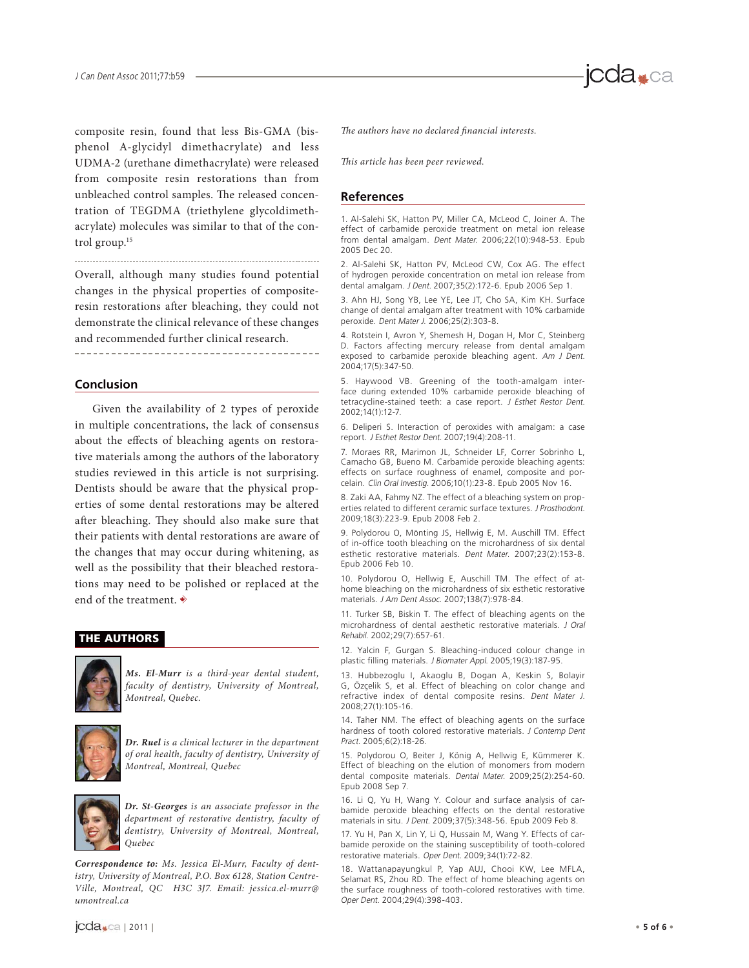composite resin, found that less Bis-GMA (bisphenol A-glycidyl dimethacrylate) and less UDMA-2 (urethane dimethacrylate) were released from composite resin restorations than from unbleached control samples. The released concentration of TEGDMA (triethylene glycoldimethacrylate) molecules was similar to that of the control group.15

Overall, although many studies found potential changes in the physical properties of compositeresin restorations after bleaching, they could not demonstrate the clinical relevance of these changes and recommended further clinical research.

## **Conclusion**

Given the availability of 2 types of peroxide in multiple concentrations, the lack of consensus about the effects of bleaching agents on restorative materials among the authors of the laboratory studies reviewed in this article is not surprising. Dentists should be aware that the physical properties of some dental restorations may be altered after bleaching. They should also make sure that their patients with dental restorations are aware of the changes that may occur during whitening, as well as the possibility that their bleached restorations may need to be polished or replaced at the end of the treatment.  $\overrightarrow{\ast}$ 

#### **THE AUTHORS**



*Ms. El-Murr* is a third-year dental student, faculty of dentistry, University of Montreal, Montreal, Quebec.



*Dr. Ruel* is a clinical lecturer in the department of oral health, faculty of dentistry, University of Montreal, Montreal, Quebec



*Dr. St-Georges* is an associate professor in the department of restorative dentistry, faculty of dentistry, University of Montreal, Montreal, Quebec

*Correspondence to:* Ms. Jessica El-Murr, Faculty of dentistry, University of Montreal, P.O. Box 6128, Station Centre-Ville, Montreal, QC H3C 3J7. Email: jessica.el-murr@ umontreal.ca

The authors have no declared financial interests.

This article has been peer reviewed.

## **References**

1. Al-Salehi SK, Hatton PV, Miller CA, McLeod C, Joiner A. The effect of carbamide peroxide treatment on metal ion release from dental amalgam. Dent Mater. 2006;22(10):948-53. Epub 2005 Dec 20.

2. Al-Salehi SK, Hatton PV, McLeod CW, Cox AG. The effect of hydrogen peroxide concentration on metal ion release from dental amalgam. J Dent. 2007;35(2):172-6. Epub 2006 Sep 1.

3. Ahn HJ, Song YB, Lee YE, Lee JT, Cho SA, Kim KH. Surface change of dental amalgam after treatment with 10% carbamide peroxide. Dent Mater J. 2006;25(2):303-8.

4. Rotstein I, Avron Y, Shemesh H, Dogan H, Mor C, Steinberg D. Factors affecting mercury release from dental amalgam exposed to carbamide peroxide bleaching agent. Am J Dent. 2004;17(5):347-50.

5. Haywood VB. Greening of the tooth-amalgam interface during extended 10% carbamide peroxide bleaching of tetracycline-stained teeth: a case report. J Esthet Restor Dent. 2002;14(1):12-7.

6. Deliperi S. Interaction of peroxides with amalgam: a case report. J Esthet Restor Dent. 2007;19(4):208-11.

7. Moraes RR, Marimon JL, Schneider LF, Correr Sobrinho L, Camacho GB, Bueno M. Carbamide peroxide bleaching agents: effects on surface roughness of enamel, composite and porcelain. Clin Oral Investig. 2006;10(1):23-8. Epub 2005 Nov 16.

8. Zaki AA, Fahmy NZ. The effect of a bleaching system on properties related to different ceramic surface textures. J Prosthodont. 2009;18(3):223-9. Epub 2008 Feb 2.

9. Polydorou O, Mönting JS, Hellwig E, M. Auschill TM. Effect of in-office tooth bleaching on the microhardness of six dental esthetic restorative materials. Dent Mater. 2007;23(2):153-8. Epub 2006 Feb 10.

10. Polydorou O, Hellwig E, Auschill TM. The effect of athome bleaching on the microhardness of six esthetic restorative materials. J Am Dent Assoc. 2007;138(7):978-84.

11. Turker SB, Biskin T. The effect of bleaching agents on the microhardness of dental aesthetic restorative materials. J Oral Rehabil. 2002;29(7):657-61.

12. Yalcin F, Gurgan S. Bleaching-induced colour change in plastic filling materials. J Biomater Appl. 2005;19(3):187-95.

13. Hubbezoglu I, Akaoglu B, Dogan A, Keskin S, Bolayir G, Özçelik S, et al. Effect of bleaching on color change and refractive index of dental composite resins. Dent Mater J. 2008;27(1):105-16.

14. Taher NM. The effect of bleaching agents on the surface hardness of tooth colored restorative materials. J Contemp Dent Pract. 2005;6(2):18-26.

15. Polydorou O, Beiter J, König A, Hellwig E, Kümmerer K. Effect of bleaching on the elution of monomers from modern dental composite materials. Dental Mater. 2009;25(2):254-60. Epub 2008 Sep 7.

16. Li Q, Yu H, Wang Y. Colour and surface analysis of carbamide peroxide bleaching effects on the dental restorative materials in situ. J Dent. 2009;37(5):348-56. Epub 2009 Feb 8.

17. Yu H, Pan X, Lin Y, Li Q, Hussain M, Wang Y. Effects of carbamide peroxide on the staining susceptibility of tooth-colored restorative materials. Oper Dent. 2009;34(1):72-82.

18. Wattanapayungkul P, Yap AUJ, Chooi KW, Lee MFLA, Selamat RS, Zhou RD. The effect of home bleaching agents on the surface roughness of tooth-colored restoratives with time. Oper Dent. 2004;29(4):398-403.